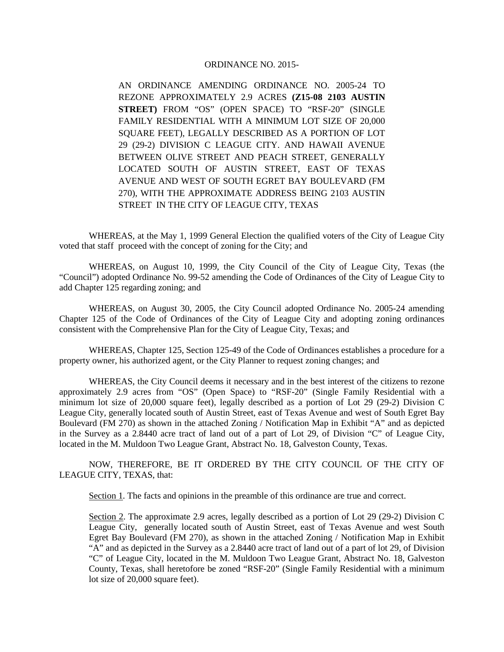## ORDINANCE NO. 2015-

AN ORDINANCE AMENDING ORDINANCE NO. 2005-24 TO REZONE APPROXIMATELY 2.9 ACRES **(Z15-08 2103 AUSTIN STREET)** FROM "OS" (OPEN SPACE) TO "RSF-20" (SINGLE FAMILY RESIDENTIAL WITH A MINIMUM LOT SIZE OF 20,000 SQUARE FEET), LEGALLY DESCRIBED AS A PORTION OF LOT 29 (29-2) DIVISION C LEAGUE CITY. AND HAWAII AVENUE BETWEEN OLIVE STREET AND PEACH STREET, GENERALLY LOCATED SOUTH OF AUSTIN STREET, EAST OF TEXAS AVENUE AND WEST OF SOUTH EGRET BAY BOULEVARD (FM 270), WITH THE APPROXIMATE ADDRESS BEING 2103 AUSTIN STREET IN THE CITY OF LEAGUE CITY, TEXAS

WHEREAS, at the May 1, 1999 General Election the qualified voters of the City of League City voted that staff proceed with the concept of zoning for the City; and

WHEREAS, on August 10, 1999, the City Council of the City of League City, Texas (the "Council") adopted Ordinance No. 99-52 amending the Code of Ordinances of the City of League City to add Chapter 125 regarding zoning; and

WHEREAS, on August 30, 2005, the City Council adopted Ordinance No. 2005-24 amending Chapter 125 of the Code of Ordinances of the City of League City and adopting zoning ordinances consistent with the Comprehensive Plan for the City of League City, Texas; and

WHEREAS, Chapter 125, Section 125-49 of the Code of Ordinances establishes a procedure for a property owner, his authorized agent, or the City Planner to request zoning changes; and

WHEREAS, the City Council deems it necessary and in the best interest of the citizens to rezone approximately 2.9 acres from "OS" (Open Space) to "RSF-20" (Single Family Residential with a minimum lot size of 20,000 square feet), legally described as a portion of Lot 29 (29-2) Division C League City, generally located south of Austin Street, east of Texas Avenue and west of South Egret Bay Boulevard (FM 270) as shown in the attached Zoning / Notification Map in Exhibit "A" and as depicted in the Survey as a 2.8440 acre tract of land out of a part of Lot 29, of Division "C" of League City, located in the M. Muldoon Two League Grant, Abstract No. 18, Galveston County, Texas.

NOW, THEREFORE, BE IT ORDERED BY THE CITY COUNCIL OF THE CITY OF LEAGUE CITY, TEXAS, that:

Section 1. The facts and opinions in the preamble of this ordinance are true and correct.

Section 2. The approximate 2.9 acres, legally described as a portion of Lot 29 (29-2) Division C League City, generally located south of Austin Street, east of Texas Avenue and west South Egret Bay Boulevard (FM 270), as shown in the attached Zoning / Notification Map in Exhibit "A" and as depicted in the Survey as a 2.8440 acre tract of land out of a part of lot 29, of Division "C" of League City, located in the M. Muldoon Two League Grant, Abstract No. 18, Galveston County, Texas, shall heretofore be zoned "RSF-20" (Single Family Residential with a minimum lot size of 20,000 square feet).